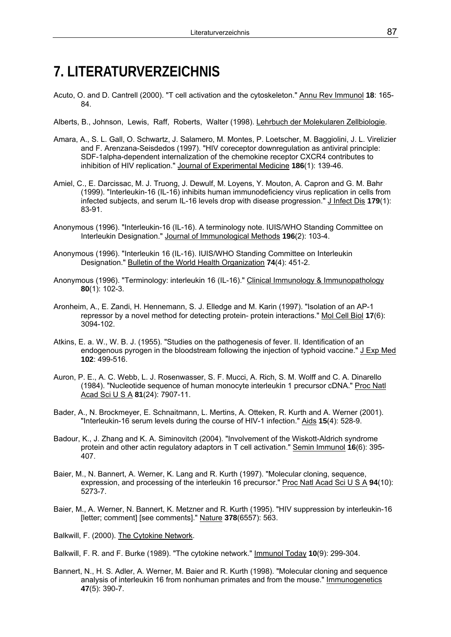## **7. LITERATURVERZEICHNIS**

- Acuto, O. and D. Cantrell (2000). "T cell activation and the cytoskeleton." Annu Rev Immunol **18**: 165- 84.
- Alberts, B., Johnson, Lewis, Raff, Roberts, Walter (1998). Lehrbuch der Molekularen Zellbiologie.
- Amara, A., S. L. Gall, O. Schwartz, J. Salamero, M. Montes, P. Loetscher, M. Baggiolini, J. L. Virelizier and F. Arenzana-Seisdedos (1997). "HIV coreceptor downregulation as antiviral principle: SDF-1alpha-dependent internalization of the chemokine receptor CXCR4 contributes to inhibition of HIV replication." Journal of Experimental Medicine **186**(1): 139-46.
- Amiel, C., E. Darcissac, M. J. Truong, J. Dewulf, M. Loyens, Y. Mouton, A. Capron and G. M. Bahr (1999). "Interleukin-16 (IL-16) inhibits human immunodeficiency virus replication in cells from infected subjects, and serum IL-16 levels drop with disease progression." J Infect Dis **179**(1): 83-91.
- Anonymous (1996). "Interleukin-16 (IL-16). A terminology note. IUIS/WHO Standing Committee on Interleukin Designation." Journal of Immunological Methods **196**(2): 103-4.
- Anonymous (1996). "Interleukin 16 (IL-16). IUIS/WHO Standing Committee on Interleukin Designation." Bulletin of the World Health Organization **74**(4): 451-2.
- Anonymous (1996). "Terminology: interleukin 16 (IL-16)." Clinical Immunology & Immunopathology **80**(1): 102-3.
- Aronheim, A., E. Zandi, H. Hennemann, S. J. Elledge and M. Karin (1997). "Isolation of an AP-1 repressor by a novel method for detecting protein- protein interactions." Mol Cell Biol **17**(6): 3094-102.
- Atkins, E. a. W., W. B. J. (1955). "Studies on the pathogenesis of fever. II. Identification of an endogenous pyrogen in the bloodstream following the injection of typhoid vaccine." J Exp Med **102**: 499-516.
- Auron, P. E., A. C. Webb, L. J. Rosenwasser, S. F. Mucci, A. Rich, S. M. Wolff and C. A. Dinarello (1984). "Nucleotide sequence of human monocyte interleukin 1 precursor cDNA." Proc Natl Acad Sci U S A **81**(24): 7907-11.
- Bader, A., N. Brockmeyer, E. Schnaitmann, L. Mertins, A. Otteken, R. Kurth and A. Werner (2001). "Interleukin-16 serum levels during the course of HIV-1 infection." Aids **15**(4): 528-9.
- Badour, K., J. Zhang and K. A. Siminovitch (2004). "Involvement of the Wiskott-Aldrich syndrome protein and other actin regulatory adaptors in T cell activation." Semin Immunol **16**(6): 395- 407.
- Baier, M., N. Bannert, A. Werner, K. Lang and R. Kurth (1997). "Molecular cloning, sequence, expression, and processing of the interleukin 16 precursor." Proc Natl Acad Sci U S A **94**(10): 5273-7.
- Baier, M., A. Werner, N. Bannert, K. Metzner and R. Kurth (1995). "HIV suppression by interleukin-16 [letter; comment] [see comments]." Nature **378**(6557): 563.
- Balkwill, F. (2000). The Cytokine Network.

Bannert, N., H. S. Adler, A. Werner, M. Baier and R. Kurth (1998). "Molecular cloning and sequence analysis of interleukin 16 from nonhuman primates and from the mouse." Immunogenetics **47**(5): 390-7.

Balkwill, F. R. and F. Burke (1989). "The cytokine network." Immunol Today **10**(9): 299-304.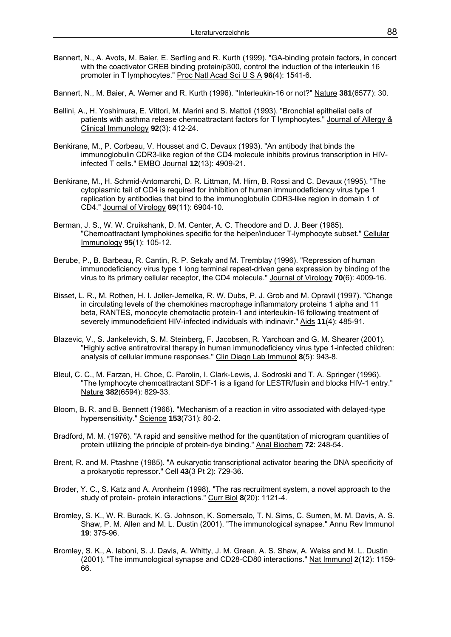- Bannert, N., A. Avots, M. Baier, E. Serfling and R. Kurth (1999). "GA-binding protein factors, in concert with the coactivator CREB binding protein/p300, control the induction of the interleukin 16 promoter in T lymphocytes." Proc Natl Acad Sci U S A **96**(4): 1541-6.
- Bannert, N., M. Baier, A. Werner and R. Kurth (1996). "Interleukin-16 or not?" Nature **381**(6577): 30.
- Bellini, A., H. Yoshimura, E. Vittori, M. Marini and S. Mattoli (1993). "Bronchial epithelial cells of patients with asthma release chemoattractant factors for T lymphocytes." Journal of Allergy & Clinical Immunology **92**(3): 412-24.
- Benkirane, M., P. Corbeau, V. Housset and C. Devaux (1993). "An antibody that binds the immunoglobulin CDR3-like region of the CD4 molecule inhibits provirus transcription in HIVinfected T cells." EMBO Journal **12**(13): 4909-21.
- Benkirane, M., H. Schmid-Antomarchi, D. R. Littman, M. Hirn, B. Rossi and C. Devaux (1995). "The cytoplasmic tail of CD4 is required for inhibition of human immunodeficiency virus type 1 replication by antibodies that bind to the immunoglobulin CDR3-like region in domain 1 of CD4." Journal of Virology **69**(11): 6904-10.
- Berman, J. S., W. W. Cruikshank, D. M. Center, A. C. Theodore and D. J. Beer (1985). "Chemoattractant lymphokines specific for the helper/inducer T-lymphocyte subset." Cellular Immunology **95**(1): 105-12.
- Berube, P., B. Barbeau, R. Cantin, R. P. Sekaly and M. Tremblay (1996). "Repression of human immunodeficiency virus type 1 long terminal repeat-driven gene expression by binding of the virus to its primary cellular receptor, the CD4 molecule." Journal of Virology **70**(6): 4009-16.
- Bisset, L. R., M. Rothen, H. I. Joller-Jemelka, R. W. Dubs, P. J. Grob and M. Opravil (1997). "Change in circulating levels of the chemokines macrophage inflammatory proteins 1 alpha and 11 beta, RANTES, monocyte chemotactic protein-1 and interleukin-16 following treatment of severely immunodeficient HIV-infected individuals with indinavir." Aids **11**(4): 485-91.
- Blazevic, V., S. Jankelevich, S. M. Steinberg, F. Jacobsen, R. Yarchoan and G. M. Shearer (2001). "Highly active antiretroviral therapy in human immunodeficiency virus type 1-infected children: analysis of cellular immune responses." Clin Diagn Lab Immunol **8**(5): 943-8.
- Bleul, C. C., M. Farzan, H. Choe, C. Parolin, I. Clark-Lewis, J. Sodroski and T. A. Springer (1996). "The lymphocyte chemoattractant SDF-1 is a ligand for LESTR/fusin and blocks HIV-1 entry." Nature **382**(6594): 829-33.
- Bloom, B. R. and B. Bennett (1966). "Mechanism of a reaction in vitro associated with delayed-type hypersensitivity." Science **153**(731): 80-2.
- Bradford, M. M. (1976). "A rapid and sensitive method for the quantitation of microgram quantities of protein utilizing the principle of protein-dye binding." Anal Biochem **72**: 248-54.
- Brent, R. and M. Ptashne (1985). "A eukaryotic transcriptional activator bearing the DNA specificity of a prokaryotic repressor." Cell **43**(3 Pt 2): 729-36.
- Broder, Y. C., S. Katz and A. Aronheim (1998). "The ras recruitment system, a novel approach to the study of protein- protein interactions." Curr Biol **8**(20): 1121-4.
- Bromley, S. K., W. R. Burack, K. G. Johnson, K. Somersalo, T. N. Sims, C. Sumen, M. M. Davis, A. S. Shaw, P. M. Allen and M. L. Dustin (2001). "The immunological synapse." Annu Rev Immunol **19**: 375-96.
- Bromley, S. K., A. Iaboni, S. J. Davis, A. Whitty, J. M. Green, A. S. Shaw, A. Weiss and M. L. Dustin (2001). "The immunological synapse and CD28-CD80 interactions." Nat Immunol **2**(12): 1159- 66.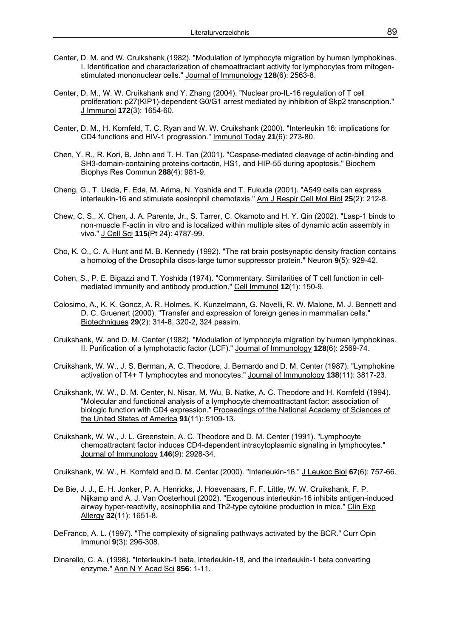- Center, D. M. and W. Cruikshank (1982). "Modulation of lymphocyte migration by human lymphokines. I. Identification and characterization of chemoattractant activity for lymphocytes from mitogenstimulated mononuclear cells." Journal of Immunology **128**(6): 2563-8.
- Center, D. M., W. W. Cruikshank and Y. Zhang (2004). "Nuclear pro-IL-16 regulation of T cell proliferation: p27(KIP1)-dependent G0/G1 arrest mediated by inhibition of Skp2 transcription." J Immunol **172**(3): 1654-60.
- Center, D. M., H. Kornfeld, T. C. Ryan and W. W. Cruikshank (2000). "Interleukin 16: implications for CD4 functions and HIV-1 progression." Immunol Today **21**(6): 273-80.
- Chen, Y. R., R. Kori, B. John and T. H. Tan (2001). "Caspase-mediated cleavage of actin-binding and SH3-domain-containing proteins cortactin, HS1, and HIP-55 during apoptosis." Biochem Biophys Res Commun **288**(4): 981-9.
- Cheng, G., T. Ueda, F. Eda, M. Arima, N. Yoshida and T. Fukuda (2001). "A549 cells can express interleukin-16 and stimulate eosinophil chemotaxis." Am J Respir Cell Mol Biol **25**(2): 212-8.
- Chew, C. S., X. Chen, J. A. Parente, Jr., S. Tarrer, C. Okamoto and H. Y. Qin (2002). "Lasp-1 binds to non-muscle F-actin in vitro and is localized within multiple sites of dynamic actin assembly in vivo." J Cell Sci **115**(Pt 24): 4787-99.
- Cho, K. O., C. A. Hunt and M. B. Kennedy (1992). "The rat brain postsynaptic density fraction contains a homolog of the Drosophila discs-large tumor suppressor protein." Neuron **9**(5): 929-42.
- Cohen, S., P. E. Bigazzi and T. Yoshida (1974). "Commentary. Similarities of T cell function in cellmediated immunity and antibody production." Cell Immunol **12**(1): 150-9.
- Colosimo, A., K. K. Goncz, A. R. Holmes, K. Kunzelmann, G. Novelli, R. W. Malone, M. J. Bennett and D. C. Gruenert (2000). "Transfer and expression of foreign genes in mammalian cells." Biotechniques **29**(2): 314-8, 320-2, 324 passim.
- Cruikshank, W. and D. M. Center (1982). "Modulation of lymphocyte migration by human lymphokines. II. Purification of a lymphotactic factor (LCF)." Journal of Immunology **128**(6): 2569-74.
- Cruikshank, W. W., J. S. Berman, A. C. Theodore, J. Bernardo and D. M. Center (1987). "Lymphokine activation of T4+ T lymphocytes and monocytes." Journal of Immunology **138**(11): 3817-23.
- Cruikshank, W. W., D. M. Center, N. Nisar, M. Wu, B. Natke, A. C. Theodore and H. Kornfeld (1994). "Molecular and functional analysis of a lymphocyte chemoattractant factor: association of biologic function with CD4 expression." Proceedings of the National Academy of Sciences of the United States of America **91**(11): 5109-13.
- Cruikshank, W. W., J. L. Greenstein, A. C. Theodore and D. M. Center (1991). "Lymphocyte chemoattractant factor induces CD4-dependent intracytoplasmic signaling in lymphocytes." Journal of Immunology **146**(9): 2928-34.

Cruikshank, W. W., H. Kornfeld and D. M. Center (2000). "Interleukin-16." J Leukoc Biol **67**(6): 757-66.

- De Bie, J. J., E. H. Jonker, P. A. Henricks, J. Hoevenaars, F. F. Little, W. W. Cruikshank, F. P. Nijkamp and A. J. Van Oosterhout (2002). "Exogenous interleukin-16 inhibits antigen-induced airway hyper-reactivity, eosinophilia and Th2-type cytokine production in mice." Clin Exp Allergy **32**(11): 1651-8.
- DeFranco, A. L. (1997). "The complexity of signaling pathways activated by the BCR." Curr Opin Immunol **9**(3): 296-308.
- Dinarello, C. A. (1998). "Interleukin-1 beta, interleukin-18, and the interleukin-1 beta converting enzyme." Ann N Y Acad Sci **856**: 1-11.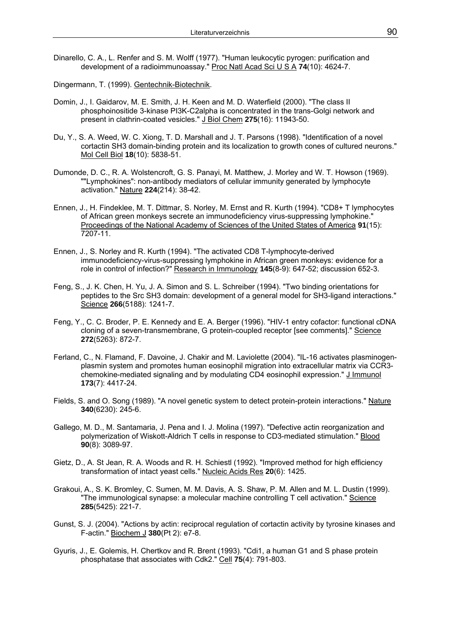Dinarello, C. A., L. Renfer and S. M. Wolff (1977). "Human leukocytic pyrogen: purification and development of a radioimmunoassay." Proc Natl Acad Sci U S A **74**(10): 4624-7.

Dingermann, T. (1999). Gentechnik-Biotechnik.

- Domin, J., I. Gaidarov, M. E. Smith, J. H. Keen and M. D. Waterfield (2000). "The class II phosphoinositide 3-kinase PI3K-C2alpha is concentrated in the trans-Golgi network and present in clathrin-coated vesicles." J Biol Chem **275**(16): 11943-50.
- Du, Y., S. A. Weed, W. C. Xiong, T. D. Marshall and J. T. Parsons (1998). "Identification of a novel cortactin SH3 domain-binding protein and its localization to growth cones of cultured neurons." Mol Cell Biol **18**(10): 5838-51.
- Dumonde, D. C., R. A. Wolstencroft, G. S. Panayi, M. Matthew, J. Morley and W. T. Howson (1969). ""Lymphokines": non-antibody mediators of cellular immunity generated by lymphocyte activation." Nature **224**(214): 38-42.
- Ennen, J., H. Findeklee, M. T. Dittmar, S. Norley, M. Ernst and R. Kurth (1994). "CD8+ T lymphocytes of African green monkeys secrete an immunodeficiency virus-suppressing lymphokine." Proceedings of the National Academy of Sciences of the United States of America **91**(15): 7207-11.
- Ennen, J., S. Norley and R. Kurth (1994). "The activated CD8 T-lymphocyte-derived immunodeficiency-virus-suppressing lymphokine in African green monkeys: evidence for a role in control of infection?" Research in Immunology **145**(8-9): 647-52; discussion 652-3.
- Feng, S., J. K. Chen, H. Yu, J. A. Simon and S. L. Schreiber (1994). "Two binding orientations for peptides to the Src SH3 domain: development of a general model for SH3-ligand interactions." Science **266**(5188): 1241-7.
- Feng, Y., C. C. Broder, P. E. Kennedy and E. A. Berger (1996). "HIV-1 entry cofactor: functional cDNA cloning of a seven-transmembrane, G protein-coupled receptor [see comments]." Science **272**(5263): 872-7.
- Ferland, C., N. Flamand, F. Davoine, J. Chakir and M. Laviolette (2004). "IL-16 activates plasminogenplasmin system and promotes human eosinophil migration into extracellular matrix via CCR3 chemokine-mediated signaling and by modulating CD4 eosinophil expression." J Immunol **173**(7): 4417-24.
- Fields, S. and O. Song (1989). "A novel genetic system to detect protein-protein interactions." Nature **340**(6230): 245-6.
- Gallego, M. D., M. Santamaria, J. Pena and I. J. Molina (1997). "Defective actin reorganization and polymerization of Wiskott-Aldrich T cells in response to CD3-mediated stimulation." Blood **90**(8): 3089-97.
- Gietz, D., A. St Jean, R. A. Woods and R. H. Schiestl (1992). "Improved method for high efficiency transformation of intact yeast cells." Nucleic Acids Res **20**(6): 1425.
- Grakoui, A., S. K. Bromley, C. Sumen, M. M. Davis, A. S. Shaw, P. M. Allen and M. L. Dustin (1999). "The immunological synapse: a molecular machine controlling T cell activation." Science **285**(5425): 221-7.
- Gunst, S. J. (2004). "Actions by actin: reciprocal regulation of cortactin activity by tyrosine kinases and F-actin." Biochem J **380**(Pt 2): e7-8.
- Gyuris, J., E. Golemis, H. Chertkov and R. Brent (1993). "Cdi1, a human G1 and S phase protein phosphatase that associates with Cdk2." Cell **75**(4): 791-803.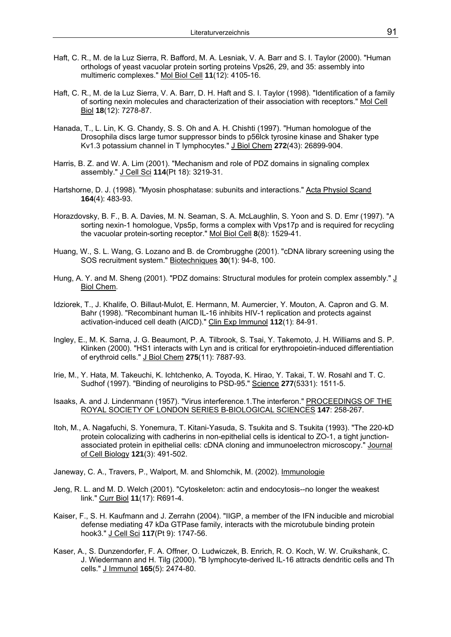- Haft, C. R., M. de la Luz Sierra, R. Bafford, M. A. Lesniak, V. A. Barr and S. I. Taylor (2000). "Human orthologs of yeast vacuolar protein sorting proteins Vps26, 29, and 35: assembly into multimeric complexes." Mol Biol Cell **11**(12): 4105-16.
- Haft, C. R., M. de la Luz Sierra, V. A. Barr, D. H. Haft and S. I. Taylor (1998). "Identification of a family of sorting nexin molecules and characterization of their association with receptors." Mol Cell Biol **18**(12): 7278-87.
- Hanada, T., L. Lin, K. G. Chandy, S. S. Oh and A. H. Chishti (1997). "Human homologue of the Drosophila discs large tumor suppressor binds to p56lck tyrosine kinase and Shaker type Kv1.3 potassium channel in T lymphocytes." J Biol Chem **272**(43): 26899-904.
- Harris, B. Z. and W. A. Lim (2001). "Mechanism and role of PDZ domains in signaling complex assembly." J Cell Sci **114**(Pt 18): 3219-31.
- Hartshorne, D. J. (1998). "Myosin phosphatase: subunits and interactions." Acta Physiol Scand **164**(4): 483-93.
- Horazdovsky, B. F., B. A. Davies, M. N. Seaman, S. A. McLaughlin, S. Yoon and S. D. Emr (1997). "A sorting nexin-1 homologue, Vps5p, forms a complex with Vps17p and is required for recycling the vacuolar protein-sorting receptor." Mol Biol Cell **8**(8): 1529-41.
- Huang, W., S. L. Wang, G. Lozano and B. de Crombrugghe (2001). "cDNA library screening using the SOS recruitment system." Biotechniques **30**(1): 94-8, 100.
- Hung, A. Y. and M. Sheng (2001). "PDZ domains: Structural modules for protein complex assembly." J Biol Chem.
- Idziorek, T., J. Khalife, O. Billaut-Mulot, E. Hermann, M. Aumercier, Y. Mouton, A. Capron and G. M. Bahr (1998). "Recombinant human IL-16 inhibits HIV-1 replication and protects against activation-induced cell death (AICD)." Clin Exp Immunol **112**(1): 84-91.
- Ingley, E., M. K. Sarna, J. G. Beaumont, P. A. Tilbrook, S. Tsai, Y. Takemoto, J. H. Williams and S. P. Klinken (2000). "HS1 interacts with Lyn and is critical for erythropoietin-induced differentiation of erythroid cells." J Biol Chem **275**(11): 7887-93.
- Irie, M., Y. Hata, M. Takeuchi, K. Ichtchenko, A. Toyoda, K. Hirao, Y. Takai, T. W. Rosahl and T. C. Sudhof (1997). "Binding of neuroligins to PSD-95." Science **277**(5331): 1511-5.
- Isaaks, A. and J. Lindenmann (1957). "Virus interference.1.The interferon." PROCEEDINGS OF THE ROYAL SOCIETY OF LONDON SERIES B-BIOLOGICAL SCIENCES **147**: 258-267.
- Itoh, M., A. Nagafuchi, S. Yonemura, T. Kitani-Yasuda, S. Tsukita and S. Tsukita (1993). "The 220-kD protein colocalizing with cadherins in non-epithelial cells is identical to ZO-1, a tight junctionassociated protein in epithelial cells: cDNA cloning and immunoelectron microscopy." Journal of Cell Biology **121**(3): 491-502.
- Janeway, C. A., Travers, P., Walport, M. and Shlomchik, M. (2002). Immunologie
- Jeng, R. L. and M. D. Welch (2001). "Cytoskeleton: actin and endocytosis--no longer the weakest link." Curr Biol **11**(17): R691-4.
- Kaiser, F., S. H. Kaufmann and J. Zerrahn (2004). "IIGP, a member of the IFN inducible and microbial defense mediating 47 kDa GTPase family, interacts with the microtubule binding protein hook3." J Cell Sci **117**(Pt 9): 1747-56.
- Kaser, A., S. Dunzendorfer, F. A. Offner, O. Ludwiczek, B. Enrich, R. O. Koch, W. W. Cruikshank, C. J. Wiedermann and H. Tilg (2000). "B lymphocyte-derived IL-16 attracts dendritic cells and Th cells." J Immunol **165**(5): 2474-80.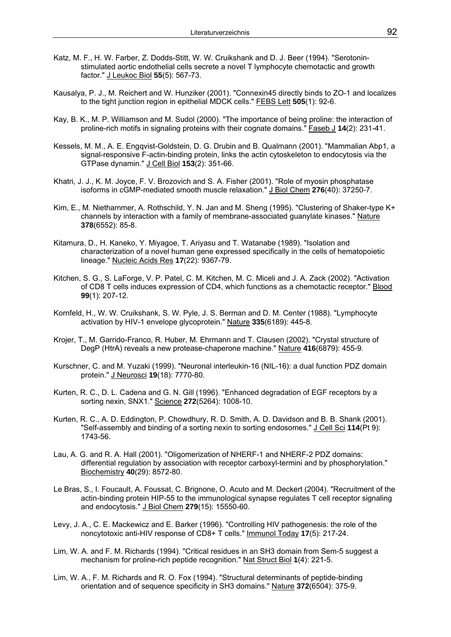- Katz, M. F., H. W. Farber, Z. Dodds-Stitt, W. W. Cruikshank and D. J. Beer (1994). "Serotoninstimulated aortic endothelial cells secrete a novel T lymphocyte chemotactic and growth factor." J Leukoc Biol **55**(5): 567-73.
- Kausalya, P. J., M. Reichert and W. Hunziker (2001). "Connexin45 directly binds to ZO-1 and localizes to the tight junction region in epithelial MDCK cells." FEBS Lett **505**(1): 92-6.
- Kay, B. K., M. P. Williamson and M. Sudol (2000). "The importance of being proline: the interaction of proline-rich motifs in signaling proteins with their cognate domains." Faseb J **14**(2): 231-41.
- Kessels, M. M., A. E. Engqvist-Goldstein, D. G. Drubin and B. Qualmann (2001). "Mammalian Abp1, a signal-responsive F-actin-binding protein, links the actin cytoskeleton to endocytosis via the GTPase dynamin." J Cell Biol **153**(2): 351-66.
- Khatri, J. J., K. M. Joyce, F. V. Brozovich and S. A. Fisher (2001). "Role of myosin phosphatase isoforms in cGMP-mediated smooth muscle relaxation." J Biol Chem **276**(40): 37250-7.
- Kim, E., M. Niethammer, A. Rothschild, Y. N. Jan and M. Sheng (1995). "Clustering of Shaker-type K+ channels by interaction with a family of membrane-associated guanylate kinases." Nature **378**(6552): 85-8.
- Kitamura, D., H. Kaneko, Y. Miyagoe, T. Ariyasu and T. Watanabe (1989). "Isolation and characterization of a novel human gene expressed specifically in the cells of hematopoietic lineage." Nucleic Acids Res **17**(22): 9367-79.
- Kitchen, S. G., S. LaForge, V. P. Patel, C. M. Kitchen, M. C. Miceli and J. A. Zack (2002). "Activation of CD8 T cells induces expression of CD4, which functions as a chemotactic receptor." Blood **99**(1): 207-12.
- Kornfeld, H., W. W. Cruikshank, S. W. Pyle, J. S. Berman and D. M. Center (1988). "Lymphocyte activation by HIV-1 envelope glycoprotein." Nature **335**(6189): 445-8.
- Krojer, T., M. Garrido-Franco, R. Huber, M. Ehrmann and T. Clausen (2002). "Crystal structure of DegP (HtrA) reveals a new protease-chaperone machine." Nature **416**(6879): 455-9.
- Kurschner, C. and M. Yuzaki (1999). "Neuronal interleukin-16 (NIL-16): a dual function PDZ domain protein." J Neurosci **19**(18): 7770-80.
- Kurten, R. C., D. L. Cadena and G. N. Gill (1996). "Enhanced degradation of EGF receptors by a sorting nexin, SNX1." Science **272**(5264): 1008-10.
- Kurten, R. C., A. D. Eddington, P. Chowdhury, R. D. Smith, A. D. Davidson and B. B. Shank (2001). "Self-assembly and binding of a sorting nexin to sorting endosomes." J Cell Sci **114**(Pt 9): 1743-56.
- Lau, A. G. and R. A. Hall (2001). "Oligomerization of NHERF-1 and NHERF-2 PDZ domains: differential regulation by association with receptor carboxyl-termini and by phosphorylation." Biochemistry **40**(29): 8572-80.
- Le Bras, S., I. Foucault, A. Foussat, C. Brignone, O. Acuto and M. Deckert (2004). "Recruitment of the actin-binding protein HIP-55 to the immunological synapse regulates T cell receptor signaling and endocytosis." J Biol Chem **279**(15): 15550-60.
- Levy, J. A., C. E. Mackewicz and E. Barker (1996). "Controlling HIV pathogenesis: the role of the noncytotoxic anti-HIV response of CD8+ T cells." Immunol Today **17**(5): 217-24.
- Lim, W. A. and F. M. Richards (1994). "Critical residues in an SH3 domain from Sem-5 suggest a mechanism for proline-rich peptide recognition." Nat Struct Biol **1**(4): 221-5.
- Lim, W. A., F. M. Richards and R. O. Fox (1994). "Structural determinants of peptide-binding orientation and of sequence specificity in SH3 domains." Nature **372**(6504): 375-9.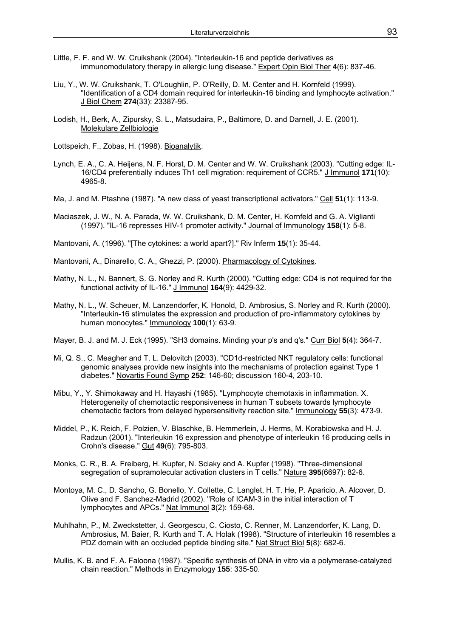- Little, F. F. and W. W. Cruikshank (2004). "Interleukin-16 and peptide derivatives as immunomodulatory therapy in allergic lung disease." Expert Opin Biol Ther **4**(6): 837-46.
- Liu, Y., W. W. Cruikshank, T. O'Loughlin, P. O'Reilly, D. M. Center and H. Kornfeld (1999). "Identification of a CD4 domain required for interleukin-16 binding and lymphocyte activation." J Biol Chem **274**(33): 23387-95.
- Lodish, H., Berk, A., Zipursky, S. L., Matsudaira, P., Baltimore, D. and Darnell, J. E. (2001). Molekulare Zellbiologie
- Lottspeich, F., Zobas, H. (1998). Bioanalytik.
- Lynch, E. A., C. A. Heijens, N. F. Horst, D. M. Center and W. W. Cruikshank (2003). "Cutting edge: IL-16/CD4 preferentially induces Th1 cell migration: requirement of CCR5." J Immunol **171**(10): 4965-8.
- Ma, J. and M. Ptashne (1987). "A new class of yeast transcriptional activators." Cell **51**(1): 113-9.
- Maciaszek, J. W., N. A. Parada, W. W. Cruikshank, D. M. Center, H. Kornfeld and G. A. Viglianti (1997). "IL-16 represses HIV-1 promoter activity." Journal of Immunology **158**(1): 5-8.
- Mantovani, A. (1996). "[The cytokines: a world apart?]." Riv Inferm **15**(1): 35-44.
- Mantovani, A., Dinarello, C. A., Ghezzi, P. (2000). Pharmacology of Cytokines.
- Mathy, N. L., N. Bannert, S. G. Norley and R. Kurth (2000). "Cutting edge: CD4 is not required for the functional activity of IL-16." J Immunol **164**(9): 4429-32.
- Mathy, N. L., W. Scheuer, M. Lanzendorfer, K. Honold, D. Ambrosius, S. Norley and R. Kurth (2000). "Interleukin-16 stimulates the expression and production of pro-inflammatory cytokines by human monocytes." Immunology **100**(1): 63-9.
- Mayer, B. J. and M. J. Eck (1995). "SH3 domains. Minding your p's and q's." Curr Biol **5**(4): 364-7.
- Mi, Q. S., C. Meagher and T. L. Delovitch (2003). "CD1d-restricted NKT regulatory cells: functional genomic analyses provide new insights into the mechanisms of protection against Type 1 diabetes." Novartis Found Symp **252**: 146-60; discussion 160-4, 203-10.
- Mibu, Y., Y. Shimokaway and H. Hayashi (1985). "Lymphocyte chemotaxis in inflammation. X. Heterogeneity of chemotactic responsiveness in human T subsets towards lymphocyte chemotactic factors from delayed hypersensitivity reaction site." Immunology **55**(3): 473-9.
- Middel, P., K. Reich, F. Polzien, V. Blaschke, B. Hemmerlein, J. Herms, M. Korabiowska and H. J. Radzun (2001). "Interleukin 16 expression and phenotype of interleukin 16 producing cells in Crohn's disease." Gut **49**(6): 795-803.
- Monks, C. R., B. A. Freiberg, H. Kupfer, N. Sciaky and A. Kupfer (1998). "Three-dimensional segregation of supramolecular activation clusters in T cells." Nature **395**(6697): 82-6.
- Montoya, M. C., D. Sancho, G. Bonello, Y. Collette, C. Langlet, H. T. He, P. Aparicio, A. Alcover, D. Olive and F. Sanchez-Madrid (2002). "Role of ICAM-3 in the initial interaction of T lymphocytes and APCs." Nat Immunol **3**(2): 159-68.
- Muhlhahn, P., M. Zweckstetter, J. Georgescu, C. Ciosto, C. Renner, M. Lanzendorfer, K. Lang, D. Ambrosius, M. Baier, R. Kurth and T. A. Holak (1998). "Structure of interleukin 16 resembles a PDZ domain with an occluded peptide binding site." Nat Struct Biol **5**(8): 682-6.
- Mullis, K. B. and F. A. Faloona (1987). "Specific synthesis of DNA in vitro via a polymerase-catalyzed chain reaction." Methods in Enzymology **155**: 335-50.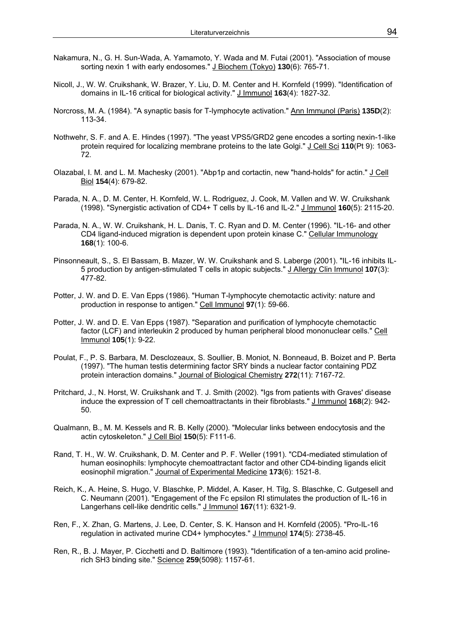- Nakamura, N., G. H. Sun-Wada, A. Yamamoto, Y. Wada and M. Futai (2001). "Association of mouse sorting nexin 1 with early endosomes." J Biochem (Tokyo) **130**(6): 765-71.
- Nicoll, J., W. W. Cruikshank, W. Brazer, Y. Liu, D. M. Center and H. Kornfeld (1999). "Identification of domains in IL-16 critical for biological activity." J Immunol **163**(4): 1827-32.
- Norcross, M. A. (1984). "A synaptic basis for T-lymphocyte activation." Ann Immunol (Paris) **135D**(2): 113-34.
- Nothwehr, S. F. and A. E. Hindes (1997). "The yeast VPS5/GRD2 gene encodes a sorting nexin-1-like protein required for localizing membrane proteins to the late Golgi." J Cell Sci **110**(Pt 9): 1063- 72.
- Olazabal, I. M. and L. M. Machesky (2001). "Abp1p and cortactin, new "hand-holds" for actin." J Cell Biol **154**(4): 679-82.
- Parada, N. A., D. M. Center, H. Kornfeld, W. L. Rodriguez, J. Cook, M. Vallen and W. W. Cruikshank (1998). "Synergistic activation of CD4+ T cells by IL-16 and IL-2." J Immunol **160**(5): 2115-20.
- Parada, N. A., W. W. Cruikshank, H. L. Danis, T. C. Ryan and D. M. Center (1996). "IL-16- and other CD4 ligand-induced migration is dependent upon protein kinase C." Cellular Immunology **168**(1): 100-6.
- Pinsonneault, S., S. El Bassam, B. Mazer, W. W. Cruikshank and S. Laberge (2001). "IL-16 inhibits IL-5 production by antigen-stimulated T cells in atopic subjects." J Allergy Clin Immunol **107**(3): 477-82.
- Potter, J. W. and D. E. Van Epps (1986). "Human T-lymphocyte chemotactic activity: nature and production in response to antigen." Cell Immunol **97**(1): 59-66.
- Potter, J. W. and D. E. Van Epps (1987). "Separation and purification of lymphocyte chemotactic factor (LCF) and interleukin 2 produced by human peripheral blood mononuclear cells." Cell Immunol **105**(1): 9-22.
- Poulat, F., P. S. Barbara, M. Desclozeaux, S. Soullier, B. Moniot, N. Bonneaud, B. Boizet and P. Berta (1997). "The human testis determining factor SRY binds a nuclear factor containing PDZ protein interaction domains." Journal of Biological Chemistry **272**(11): 7167-72.
- Pritchard, J., N. Horst, W. Cruikshank and T. J. Smith (2002). "Igs from patients with Graves' disease induce the expression of T cell chemoattractants in their fibroblasts." J Immunol **168**(2): 942- 50.
- Qualmann, B., M. M. Kessels and R. B. Kelly (2000). "Molecular links between endocytosis and the actin cytoskeleton." J Cell Biol **150**(5): F111-6.
- Rand, T. H., W. W. Cruikshank, D. M. Center and P. F. Weller (1991). "CD4-mediated stimulation of human eosinophils: lymphocyte chemoattractant factor and other CD4-binding ligands elicit eosinophil migration." Journal of Experimental Medicine **173**(6): 1521-8.
- Reich, K., A. Heine, S. Hugo, V. Blaschke, P. Middel, A. Kaser, H. Tilg, S. Blaschke, C. Gutgesell and C. Neumann (2001). "Engagement of the Fc epsilon RI stimulates the production of IL-16 in Langerhans cell-like dendritic cells." J Immunol **167**(11): 6321-9.
- Ren, F., X. Zhan, G. Martens, J. Lee, D. Center, S. K. Hanson and H. Kornfeld (2005). "Pro-IL-16 regulation in activated murine CD4+ lymphocytes." J Immunol **174**(5): 2738-45.
- Ren, R., B. J. Mayer, P. Cicchetti and D. Baltimore (1993). "Identification of a ten-amino acid prolinerich SH3 binding site." Science **259**(5098): 1157-61.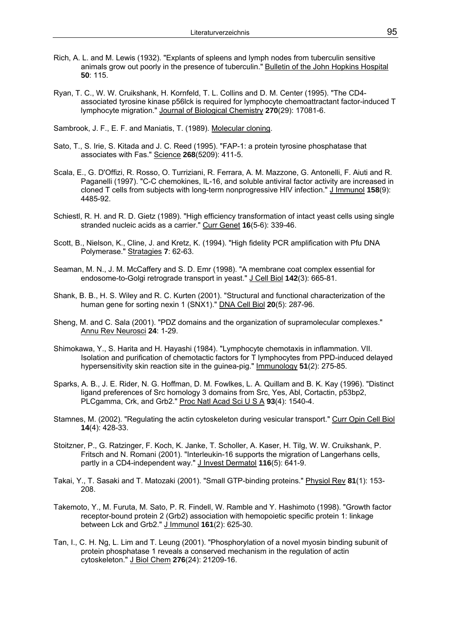- Rich, A. L. and M. Lewis (1932). "Explants of spleens and lymph nodes from tuberculin sensitive animals grow out poorly in the presence of tuberculin." Bulletin of the John Hopkins Hospital **50**: 115.
- Ryan, T. C., W. W. Cruikshank, H. Kornfeld, T. L. Collins and D. M. Center (1995). "The CD4 associated tyrosine kinase p56lck is required for lymphocyte chemoattractant factor-induced T lymphocyte migration." Journal of Biological Chemistry **270**(29): 17081-6.

Sambrook, J. F., E. F. and Maniatis, T. (1989). Molecular cloning.

- Sato, T., S. Irie, S. Kitada and J. C. Reed (1995). "FAP-1: a protein tyrosine phosphatase that associates with Fas." Science **268**(5209): 411-5.
- Scala, E., G. D'Offizi, R. Rosso, O. Turriziani, R. Ferrara, A. M. Mazzone, G. Antonelli, F. Aiuti and R. Paganelli (1997). "C-C chemokines, IL-16, and soluble antiviral factor activity are increased in cloned T cells from subjects with long-term nonprogressive HIV infection." J Immunol **158**(9): 4485-92.
- Schiestl, R. H. and R. D. Gietz (1989). "High efficiency transformation of intact yeast cells using single stranded nucleic acids as a carrier." Curr Genet **16**(5-6): 339-46.
- Scott, B., Nielson, K., Cline, J. and Kretz, K. (1994). "High fidelity PCR amplification with Pfu DNA Polymerase." Stratagies **7**: 62-63.
- Seaman, M. N., J. M. McCaffery and S. D. Emr (1998). "A membrane coat complex essential for endosome-to-Golgi retrograde transport in yeast." J Cell Biol **142**(3): 665-81.
- Shank, B. B., H. S. Wiley and R. C. Kurten (2001). "Structural and functional characterization of the human gene for sorting nexin 1 (SNX1)." DNA Cell Biol **20**(5): 287-96.
- Sheng, M. and C. Sala (2001). "PDZ domains and the organization of supramolecular complexes." Annu Rev Neurosci **24**: 1-29.
- Shimokawa, Y., S. Harita and H. Hayashi (1984). "Lymphocyte chemotaxis in inflammation. VII. Isolation and purification of chemotactic factors for T lymphocytes from PPD-induced delayed hypersensitivity skin reaction site in the guinea-pig." Immunology **51**(2): 275-85.
- Sparks, A. B., J. E. Rider, N. G. Hoffman, D. M. Fowlkes, L. A. Quillam and B. K. Kay (1996). "Distinct ligand preferences of Src homology 3 domains from Src, Yes, Abl, Cortactin, p53bp2, PLCgamma, Crk, and Grb2." Proc Natl Acad Sci U S A **93**(4): 1540-4.
- Stamnes, M. (2002). "Regulating the actin cytoskeleton during vesicular transport." Curr Opin Cell Biol **14**(4): 428-33.
- Stoitzner, P., G. Ratzinger, F. Koch, K. Janke, T. Scholler, A. Kaser, H. Tilg, W. W. Cruikshank, P. Fritsch and N. Romani (2001). "Interleukin-16 supports the migration of Langerhans cells, partly in a CD4-independent way." J Invest Dermatol **116**(5): 641-9.
- Takai, Y., T. Sasaki and T. Matozaki (2001). "Small GTP-binding proteins." Physiol Rev **81**(1): 153- 208.
- Takemoto, Y., M. Furuta, M. Sato, P. R. Findell, W. Ramble and Y. Hashimoto (1998). "Growth factor receptor-bound protein 2 (Grb2) association with hemopoietic specific protein 1: linkage between Lck and Grb2." J Immunol **161**(2): 625-30.
- Tan, I., C. H. Ng, L. Lim and T. Leung (2001). "Phosphorylation of a novel myosin binding subunit of protein phosphatase 1 reveals a conserved mechanism in the regulation of actin cytoskeleton." J Biol Chem **276**(24): 21209-16.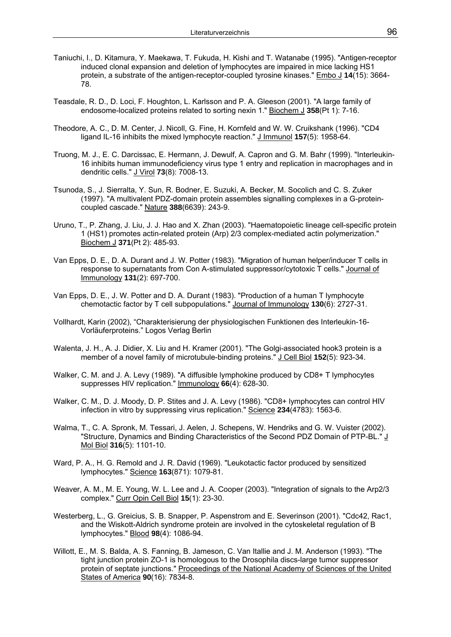- Taniuchi, I., D. Kitamura, Y. Maekawa, T. Fukuda, H. Kishi and T. Watanabe (1995). "Antigen-receptor induced clonal expansion and deletion of lymphocytes are impaired in mice lacking HS1 protein, a substrate of the antigen-receptor-coupled tyrosine kinases." Embo J **14**(15): 3664- 78.
- Teasdale, R. D., D. Loci, F. Houghton, L. Karlsson and P. A. Gleeson (2001). "A large family of endosome-localized proteins related to sorting nexin 1." Biochem J **358**(Pt 1): 7-16.
- Theodore, A. C., D. M. Center, J. Nicoll, G. Fine, H. Kornfeld and W. W. Cruikshank (1996). "CD4 ligand IL-16 inhibits the mixed lymphocyte reaction." J Immunol **157**(5): 1958-64.
- Truong, M. J., E. C. Darcissac, E. Hermann, J. Dewulf, A. Capron and G. M. Bahr (1999). "Interleukin-16 inhibits human immunodeficiency virus type 1 entry and replication in macrophages and in dendritic cells." J Virol **73**(8): 7008-13.
- Tsunoda, S., J. Sierralta, Y. Sun, R. Bodner, E. Suzuki, A. Becker, M. Socolich and C. S. Zuker (1997). "A multivalent PDZ-domain protein assembles signalling complexes in a G-proteincoupled cascade." Nature **388**(6639): 243-9.
- Uruno, T., P. Zhang, J. Liu, J. J. Hao and X. Zhan (2003). "Haematopoietic lineage cell-specific protein 1 (HS1) promotes actin-related protein (Arp) 2/3 complex-mediated actin polymerization." Biochem J **371**(Pt 2): 485-93.
- Van Epps, D. E., D. A. Durant and J. W. Potter (1983). "Migration of human helper/inducer T cells in response to supernatants from Con A-stimulated suppressor/cytotoxic T cells." Journal of Immunology **131**(2): 697-700.
- Van Epps, D. E., J. W. Potter and D. A. Durant (1983). "Production of a human T lymphocyte chemotactic factor by T cell subpopulations." Journal of Immunology **130**(6): 2727-31.
- Vollhardt, Karin (2002), "Charakterisierung der physiologischen Funktionen des Interleukin-16- Vorläuferproteins." Logos Verlag Berlin
- Walenta, J. H., A. J. Didier, X. Liu and H. Kramer (2001). "The Golgi-associated hook3 protein is a member of a novel family of microtubule-binding proteins." J Cell Biol **152**(5): 923-34.
- Walker, C. M. and J. A. Levy (1989). "A diffusible lymphokine produced by CD8+ T lymphocytes suppresses HIV replication." Immunology **66**(4): 628-30.
- Walker, C. M., D. J. Moody, D. P. Stites and J. A. Levy (1986). "CD8+ lymphocytes can control HIV infection in vitro by suppressing virus replication." Science **234**(4783): 1563-6.
- Walma, T., C. A. Spronk, M. Tessari, J. Aelen, J. Schepens, W. Hendriks and G. W. Vuister (2002). "Structure, Dynamics and Binding Characteristics of the Second PDZ Domain of PTP-BL." J Mol Biol **316**(5): 1101-10.
- Ward, P. A., H. G. Remold and J. R. David (1969). "Leukotactic factor produced by sensitized lymphocytes." Science **163**(871): 1079-81.
- Weaver, A. M., M. E. Young, W. L. Lee and J. A. Cooper (2003). "Integration of signals to the Arp2/3 complex." Curr Opin Cell Biol **15**(1): 23-30.
- Westerberg, L., G. Greicius, S. B. Snapper, P. Aspenstrom and E. Severinson (2001). "Cdc42, Rac1, and the Wiskott-Aldrich syndrome protein are involved in the cytoskeletal regulation of B lymphocytes." Blood **98**(4): 1086-94.
- Willott, E., M. S. Balda, A. S. Fanning, B. Jameson, C. Van Itallie and J. M. Anderson (1993). "The tight junction protein ZO-1 is homologous to the Drosophila discs-large tumor suppressor protein of septate junctions." Proceedings of the National Academy of Sciences of the United States of America **90**(16): 7834-8.